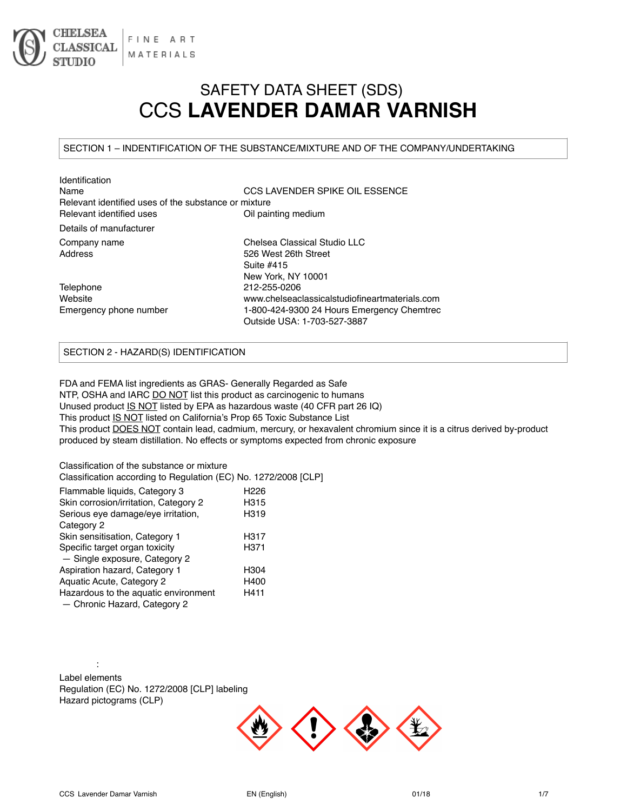

# SAFETY DATA SHEET (SDS) CCS **LAVENDER DAMAR VARNISH**

#### SECTION 1 – INDENTIFICATION OF THE SUBSTANCE/MIXTURE AND OF THE COMPANY/UNDERTAKING

| <b>Identification</b>                                |                                                |
|------------------------------------------------------|------------------------------------------------|
| Name                                                 | CCS LAVENDER SPIKE OIL ESSENCE                 |
| Relevant identified uses of the substance or mixture |                                                |
| Relevant identified uses                             | Oil painting medium                            |
| Details of manufacturer                              |                                                |
| Company name                                         | Chelsea Classical Studio LLC                   |
| Address                                              | 526 West 26th Street                           |
|                                                      | Suite #415                                     |
|                                                      | New York, NY 10001                             |
| Telephone                                            | 212-255-0206                                   |
| Website                                              | www.chelseaclassicalstudiofineartmaterials.com |
| Emergency phone number                               | 1-800-424-9300 24 Hours Emergency Chemtrec     |
|                                                      | Outside USA: 1-703-527-3887                    |

## SECTION 2 - HAZARD(S) IDENTIFICATION

FDA and FEMA list ingredients as GRAS- Generally Regarded as Safe NTP, OSHA and IARC DO NOT list this product as carcinogenic to humans Unused product IS NOT listed by EPA as hazardous waste (40 CFR part 26 IQ) This product IS NOT listed on California's Prop 65 Toxic Substance List This product **DOES NOT** contain lead, cadmium, mercury, or hexavalent chromium since it is a citrus derived by-product produced by steam distillation. No effects or symptoms expected from chronic exposure

Classification of the substance or mixture Classification according to Regulation (EC) No. 1272/2008 [CLP]

| Flammable liquids, Category 3<br>Skin corrosion/irritation, Category 2 | H <sub>226</sub><br>H315 |
|------------------------------------------------------------------------|--------------------------|
| Serious eye damage/eye irritation,                                     | H319                     |
| Category 2                                                             |                          |
| Skin sensitisation, Category 1                                         | H317                     |
| Specific target organ toxicity                                         | H371                     |
| - Single exposure, Category 2                                          |                          |
| Aspiration hazard, Category 1                                          | H304                     |
| Aquatic Acute, Category 2                                              | H400                     |
| Hazardous to the aquatic environment                                   | H411                     |
| - Chronic Hazard, Category 2                                           |                          |

: Label elements Regulation (EC) No. 1272/2008 [CLP] labeling Hazard pictograms (CLP)

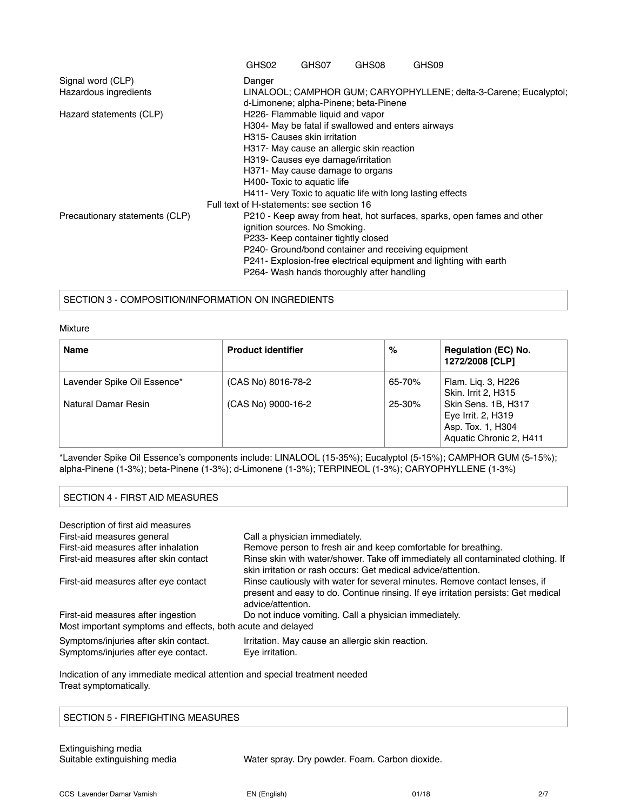|                                                            | GHS02                                              | GHS07                               | GHS08                                      | GHS09                                                                  |  |
|------------------------------------------------------------|----------------------------------------------------|-------------------------------------|--------------------------------------------|------------------------------------------------------------------------|--|
| Signal word (CLP)                                          | Danger                                             |                                     |                                            |                                                                        |  |
| Hazardous ingredients                                      |                                                    |                                     | d-Limonene; alpha-Pinene; beta-Pinene      | LINALOOL; CAMPHOR GUM; CARYOPHYLLENE; delta-3-Carene; Eucalyptol;      |  |
| Hazard statements (CLP)                                    |                                                    | H226- Flammable liquid and vapor    |                                            |                                                                        |  |
|                                                            | H304- May be fatal if swallowed and enters airways |                                     |                                            |                                                                        |  |
|                                                            |                                                    | H315- Causes skin irritation        |                                            |                                                                        |  |
|                                                            |                                                    |                                     | H317- May cause an allergic skin reaction  |                                                                        |  |
|                                                            |                                                    | H319- Causes eye damage/irritation  |                                            |                                                                        |  |
|                                                            |                                                    | H371- May cause damage to organs    |                                            |                                                                        |  |
|                                                            | H400- Toxic to aquatic life                        |                                     |                                            |                                                                        |  |
| H411- Very Toxic to aquatic life with long lasting effects |                                                    |                                     |                                            |                                                                        |  |
|                                                            | Full text of H-statements: see section 16          |                                     |                                            |                                                                        |  |
| Precautionary statements (CLP)                             |                                                    |                                     |                                            | P210 - Keep away from heat, hot surfaces, sparks, open fames and other |  |
|                                                            |                                                    | ignition sources. No Smoking.       |                                            |                                                                        |  |
|                                                            |                                                    | P233- Keep container tightly closed |                                            |                                                                        |  |
|                                                            |                                                    |                                     |                                            | P240- Ground/bond container and receiving equipment                    |  |
|                                                            |                                                    |                                     |                                            | P241- Explosion-free electrical equipment and lighting with earth      |  |
|                                                            |                                                    |                                     | P264- Wash hands thoroughly after handling |                                                                        |  |

#### SECTION 3 - COMPOSITION/INFORMATION ON INGREDIENTS

#### Mixture

| <b>Name</b>                                        | <b>Product identifier</b>                | %                    | <b>Regulation (EC) No.</b><br>1272/2008 [CLP]                                          |
|----------------------------------------------------|------------------------------------------|----------------------|----------------------------------------------------------------------------------------|
| Lavender Spike Oil Essence*<br>Natural Damar Resin | (CAS No) 8016-78-2<br>(CAS No) 9000-16-2 | 65-70%<br>$25 - 30%$ | Flam. Lig. 3, H226<br>Skin. Irrit 2, H315<br>Skin Sens. 1B, H317<br>Eye Irrit. 2, H319 |
|                                                    |                                          |                      | Asp. Tox. 1, H304<br>Aquatic Chronic 2, H411                                           |

\*Lavender Spike Oil Essence's components include: LINALOOL (15-35%); Eucalyptol (5-15%); CAMPHOR GUM (5-15%); alpha-Pinene (1-3%); beta-Pinene (1-3%); d-Limonene (1-3%); TERPINEOL (1-3%); CARYOPHYLLENE (1-3%)

## SECTION 4 - FIRST AID MEASURES

| Description of first aid measures                                             |                                                                                                                                                                                      |
|-------------------------------------------------------------------------------|--------------------------------------------------------------------------------------------------------------------------------------------------------------------------------------|
| First-aid measures general                                                    | Call a physician immediately.                                                                                                                                                        |
| First-aid measures after inhalation                                           | Remove person to fresh air and keep comfortable for breathing.                                                                                                                       |
| First-aid measures after skin contact                                         | Rinse skin with water/shower. Take off immediately all contaminated clothing. If<br>skin irritation or rash occurs: Get medical advice/attention.                                    |
| First-aid measures after eye contact                                          | Rinse cautiously with water for several minutes. Remove contact lenses, if<br>present and easy to do. Continue rinsing. If eye irritation persists: Get medical<br>advice/attention. |
| First-aid measures after ingestion                                            | Do not induce vomiting. Call a physician immediately.                                                                                                                                |
| Most important symptoms and effects, both acute and delayed                   |                                                                                                                                                                                      |
| Symptoms/injuries after skin contact.<br>Symptoms/injuries after eye contact. | Irritation. May cause an allergic skin reaction.<br>Eye irritation.                                                                                                                  |

Indication of any immediate medical attention and special treatment needed Treat symptomatically.

#### SECTION 5 - FIREFIGHTING MEASURES

Suitable extinguishing media Water spray. Dry powder. Foam. Carbon dioxide.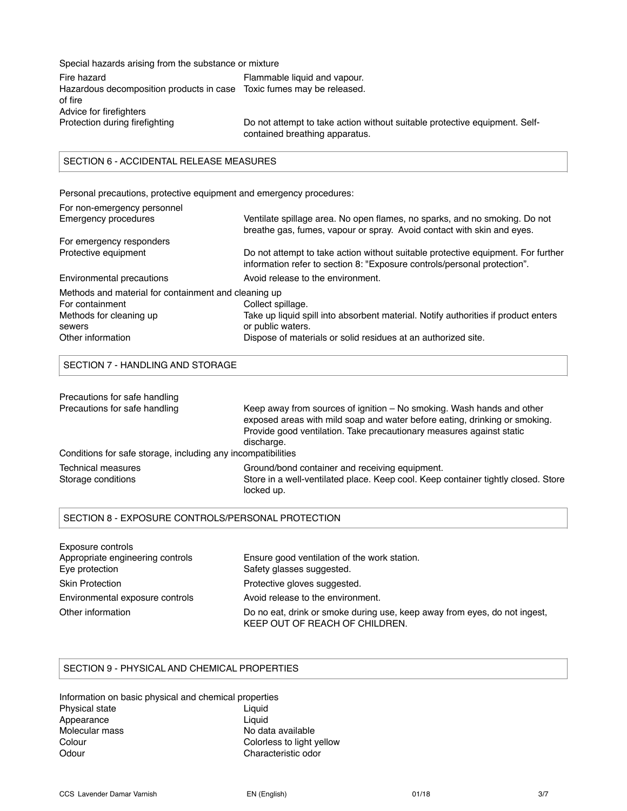Special hazards arising from the substance or mixture Fire hazard **Filammable liquid and vapour.** Hazardous decomposition products in case Toxic fumes may be released. of fire Advice for firefighters<br>Protection during firefighting Do not attempt to take action without suitable protective equipment. Selfcontained breathing apparatus.

## SECTION 6 - ACCIDENTAL RELEASE MEASURES

Personal precautions, protective equipment and emergency procedures:

| Ventilate spillage area. No open flames, no sparks, and no smoking. Do not<br>breathe gas, fumes, vapour or spray. Avoid contact with skin and eyes.         |
|--------------------------------------------------------------------------------------------------------------------------------------------------------------|
|                                                                                                                                                              |
| Do not attempt to take action without suitable protective equipment. For further<br>information refer to section 8: "Exposure controls/personal protection". |
| Avoid release to the environment.                                                                                                                            |
| Methods and material for containment and cleaning up                                                                                                         |
| Collect spillage.                                                                                                                                            |
| Take up liquid spill into absorbent material. Notify authorities if product enters                                                                           |
| or public waters.                                                                                                                                            |
| Dispose of materials or solid residues at an authorized site.                                                                                                |
|                                                                                                                                                              |

#### SECTION 7 - HANDLING AND STORAGE

| Precautions for safe handling                                |                                                                                                                                                                                                                                           |
|--------------------------------------------------------------|-------------------------------------------------------------------------------------------------------------------------------------------------------------------------------------------------------------------------------------------|
| Precautions for safe handling                                | Keep away from sources of ignition – No smoking. Wash hands and other<br>exposed areas with mild soap and water before eating, drinking or smoking.<br>Provide good ventilation. Take precautionary measures against static<br>discharge. |
| Conditions for safe storage, including any incompatibilities |                                                                                                                                                                                                                                           |
| Technical measures<br>Storage conditions                     | Ground/bond container and receiving equipment.<br>Store in a well-ventilated place. Keep cool. Keep container tightly closed. Store<br>locked up.                                                                                         |

# SECTION 8 - EXPOSURE CONTROLS/PERSONAL PROTECTION

| Exposure controls                |                                                                                                             |
|----------------------------------|-------------------------------------------------------------------------------------------------------------|
| Appropriate engineering controls | Ensure good ventilation of the work station.                                                                |
| Eye protection                   | Safety glasses suggested.                                                                                   |
| <b>Skin Protection</b>           | Protective gloves suggested.                                                                                |
| Environmental exposure controls  | Avoid release to the environment.                                                                           |
| Other information                | Do no eat, drink or smoke during use, keep away from eyes, do not ingest,<br>KEEP OUT OF REACH OF CHILDREN. |

#### SECTION 9 - PHYSICAL AND CHEMICAL PROPERTIES

| Information on basic physical and chemical properties |                           |
|-------------------------------------------------------|---------------------------|
| Physical state                                        | Liguid                    |
| Appearance                                            | Liauid                    |
| Molecular mass                                        | No data available         |
| Colour                                                | Colorless to light yellow |
| Odour                                                 | Characteristic odor       |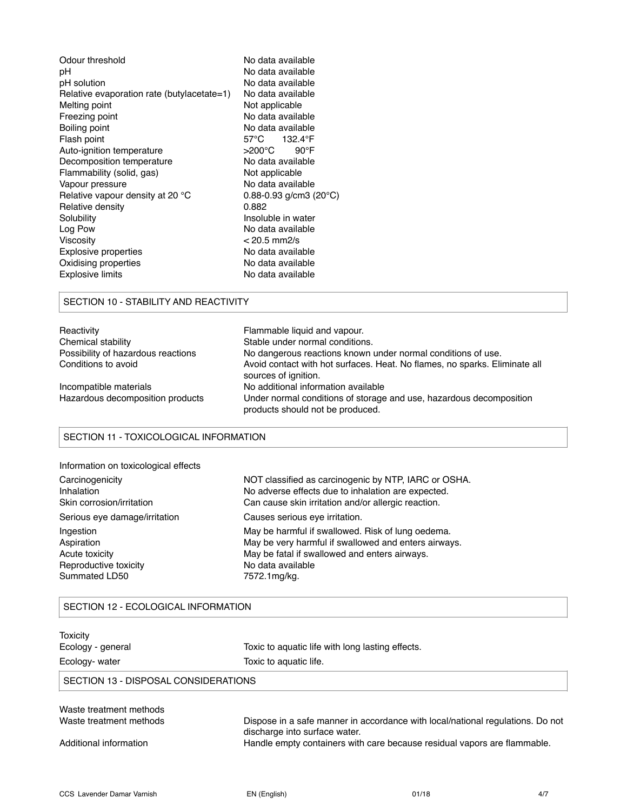| Odour threshold                            | No data available                     |
|--------------------------------------------|---------------------------------------|
| рH                                         | No data available                     |
| pH solution                                | No data available                     |
| Relative evaporation rate (butylacetate=1) | No data available                     |
| Melting point                              | Not applicable                        |
| Freezing point                             | No data available                     |
| Boiling point                              | No data available                     |
| Flash point                                | $57^{\circ}$ C<br>132.4°F             |
| Auto-ignition temperature                  | >200°C<br>$90^{\circ}$ F              |
| Decomposition temperature                  | No data available                     |
| Flammability (solid, gas)                  | Not applicable                        |
| Vapour pressure                            | No data available                     |
| Relative vapour density at 20 °C           | $0.88 - 0.93$ g/cm3 (20 $^{\circ}$ C) |
| Relative density                           | 0.882                                 |
| Solubility                                 | Insoluble in water                    |
| Log Pow                                    | No data available                     |
| Viscosity                                  | $< 20.5$ mm2/s                        |
| Explosive properties                       | No data available                     |
| Oxidising properties                       | No data available                     |
| Explosive limits                           | No data available                     |
|                                            |                                       |

## SECTION 10 - STABILITY AND REACTIVITY

| Reactivity                         | Flammable liquid and vapour.                                                                            |
|------------------------------------|---------------------------------------------------------------------------------------------------------|
| Chemical stability                 | Stable under normal conditions.                                                                         |
| Possibility of hazardous reactions | No dangerous reactions known under normal conditions of use.                                            |
| Conditions to avoid                | Avoid contact with hot surfaces. Heat. No flames, no sparks. Eliminate all<br>sources of ignition.      |
| Incompatible materials             | No additional information available                                                                     |
| Hazardous decomposition products   | Under normal conditions of storage and use, hazardous decomposition<br>products should not be produced. |

## SECTION 11 - TOXICOLOGICAL INFORMATION

| Information on toxicological effects |                                                      |
|--------------------------------------|------------------------------------------------------|
| Carcinogenicity                      | NOT classified as carcinogenic by NTP, IARC or OSHA. |
| Inhalation                           | No adverse effects due to inhalation are expected.   |
| Skin corrosion/irritation            | Can cause skin irritation and/or allergic reaction.  |
| Serious eye damage/irritation        | Causes serious eve irritation.                       |
| Ingestion                            | May be harmful if swallowed. Risk of lung oedema.    |
| Aspiration                           | May be very harmful if swallowed and enters airways. |
| Acute toxicity                       | May be fatal if swallowed and enters airways.        |
| Reproductive toxicity                | No data available                                    |
| Summated LD50                        | 7572.1mg/kg.                                         |

# SECTION 12 - ECOLOGICAL INFORMATION

| Toxicity<br>Ecology - general        | Toxic to aquatic life with long lasting effects.                                                                |  |
|--------------------------------------|-----------------------------------------------------------------------------------------------------------------|--|
| Ecology- water                       | Toxic to aquatic life.                                                                                          |  |
| SECTION 13 - DISPOSAL CONSIDERATIONS |                                                                                                                 |  |
| Waste treatment methods              |                                                                                                                 |  |
| Waste treatment methods              | Dispose in a safe manner in accordance with local/national regulations. Do not<br>discharge into surface water. |  |
| Additional information               | Handle empty containers with care because residual vapors are flammable.                                        |  |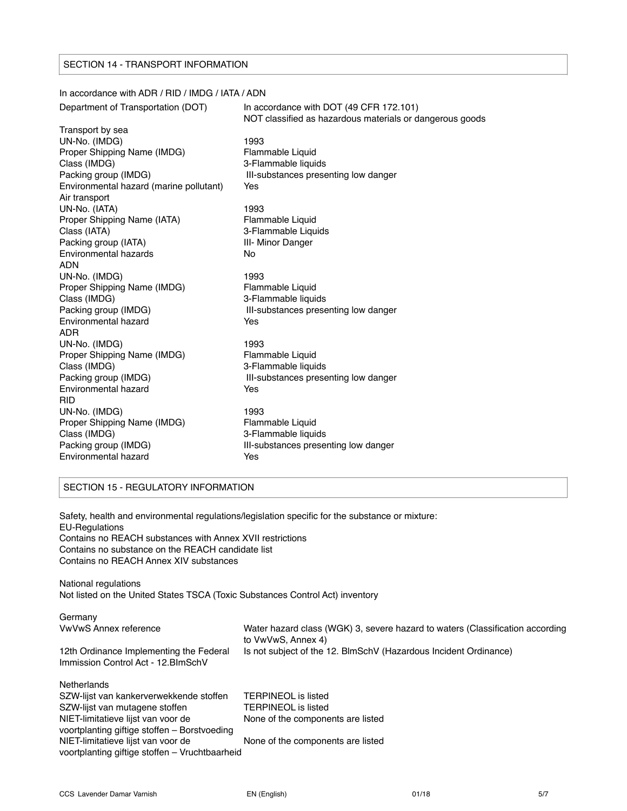#### SECTION 14 - TRANSPORT INFORMATION

## In accordance with ADR / RID / IMDG / IATA / ADN Department of Transportation (DOT) In accordance with DOT (49 CFR 172.101) NOT classified as hazardous materials or dangerous goods Transport by sea UN-No. (IMDG) 1993 Proper Shipping Name (IMDG) Flammable Liquid<br>Class (IMDG) 6 S-Flammable liquid 3-Flammable liquids Packing group (IMDG) **III-substances presenting low danger** Environmental hazard (marine pollutant) Yes Air transport UN-No. (IATA) 1993 Proper Shipping Name (IATA) Flammable Liquid Class (IATA) 3-Flammable Liquids Packing group (IATA) **III- Minor Danger** Environmental hazards No ADN UN-No. (IMDG) 1993 Proper Shipping Name (IMDG) Flammable Liquid Class (IMDG) 3-Flammable liquids Packing group (IMDG) **III-substances presenting low danger** Environmental hazard Yes ADR UN-No. (IMDG) 1993 Proper Shipping Name (IMDG) Flammable Liquid Class (IMDG) 3-Flammable liquids Packing group (IMDG) **III-substances presenting low danger** Environmental hazard **Yes** RID UN-No. (IMDG) 1993 Proper Shipping Name (IMDG) Flammable Liquid Class (IMDG) 3-Flammable liquids Packing group (IMDG) **III-substances presenting low danger** Environmental hazard **Yes**

## SECTION 15 - REGULATORY INFORMATION

Safety, health and environmental regulations/legislation specific for the substance or mixture: EU-Regulations Contains no REACH substances with Annex XVII restrictions Contains no substance on the REACH candidate list Contains no REACH Annex XIV substances

National regulations Not listed on the United States TSCA (Toxic Substances Control Act) inventory

| Germany<br><b>VwVwS Annex reference</b><br>12th Ordinance Implementing the Federal<br>Immission Control Act - 12. BlmSchV                                                                                                                                              | Water hazard class (WGK) 3, severe hazard to waters (Classification according<br>to VwVwS, Annex 4)<br>Is not subject of the 12. BlmSchV (Hazardous Incident Ordinance) |
|------------------------------------------------------------------------------------------------------------------------------------------------------------------------------------------------------------------------------------------------------------------------|-------------------------------------------------------------------------------------------------------------------------------------------------------------------------|
| Netherlands<br>SZW-lijst van kankerverwekkende stoffen<br>SZW-lijst van mutagene stoffen<br>NIET-limitatieve lijst van voor de<br>voortplanting giftige stoffen – Borstvoeding<br>NIET-limitatieve lijst van voor de<br>voortplanting giftige stoffen - Vruchtbaarheid | TERPINEOL is listed<br><b>TERPINEOL</b> is listed<br>None of the components are listed<br>None of the components are listed                                             |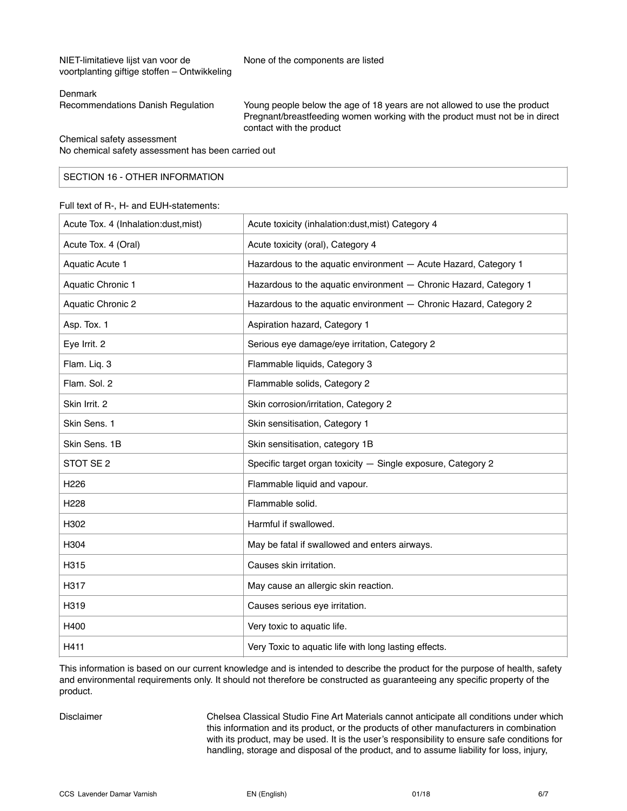NIET-limitatieve lijst van voor de None of the components are listed voortplanting giftige stoffen – Ontwikkeling

#### Denmark

Recommendations Danish Regulation Young people below the age of 18 years are not allowed to use the product Pregnant/breastfeeding women working with the product must not be in direct contact with the product

Chemical safety assessment

No chemical safety assessment has been carried out

## SECTION 16 - OTHER INFORMATION

#### Full text of R-, H- and EUH-statements:

| Acute Tox. 4 (Inhalation:dust, mist) | Acute toxicity (inhalation:dust, mist) Category 4                 |
|--------------------------------------|-------------------------------------------------------------------|
| Acute Tox. 4 (Oral)                  | Acute toxicity (oral), Category 4                                 |
| Aquatic Acute 1                      | Hazardous to the aquatic environment - Acute Hazard, Category 1   |
| Aquatic Chronic 1                    | Hazardous to the aquatic environment - Chronic Hazard, Category 1 |
| <b>Aquatic Chronic 2</b>             | Hazardous to the aquatic environment - Chronic Hazard, Category 2 |
| Asp. Tox. 1                          | Aspiration hazard, Category 1                                     |
| Eye Irrit. 2                         | Serious eye damage/eye irritation, Category 2                     |
| Flam. Liq. 3                         | Flammable liquids, Category 3                                     |
| Flam. Sol. 2                         | Flammable solids, Category 2                                      |
| Skin Irrit. 2                        | Skin corrosion/irritation, Category 2                             |
| Skin Sens. 1                         | Skin sensitisation, Category 1                                    |
| Skin Sens. 1B                        | Skin sensitisation, category 1B                                   |
| STOT SE 2                            | Specific target organ toxicity - Single exposure, Category 2      |
| H226                                 | Flammable liquid and vapour.                                      |
| H <sub>228</sub>                     | Flammable solid.                                                  |
| H302                                 | Harmful if swallowed.                                             |
| H304                                 | May be fatal if swallowed and enters airways.                     |
| H315                                 | Causes skin irritation.                                           |
| H317                                 | May cause an allergic skin reaction.                              |
| H319                                 | Causes serious eye irritation.                                    |
| H400                                 | Very toxic to aquatic life.                                       |
| H411                                 | Very Toxic to aquatic life with long lasting effects.             |

This information is based on our current knowledge and is intended to describe the product for the purpose of health, safety and environmental requirements only. It should not therefore be constructed as guaranteeing any specific property of the product.

Disclaimer Chelsea Classical Studio Fine Art Materials cannot anticipate all conditions under which this information and its product, or the products of other manufacturers in combination with its product, may be used. It is the user's responsibility to ensure safe conditions for handling, storage and disposal of the product, and to assume liability for loss, injury,